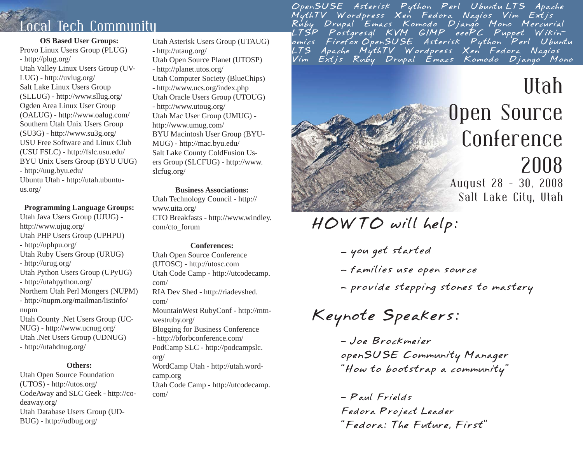## Local Tech Community

### **OS Based User Groups:** Provo Linux Users Group (PLUG) - http://plug.org/ Utah Valley Linux Users Group (UV-LUG) - http://uvlug.org/ Salt Lake Linux Users Group (SLLUG) - http://www.sllug.org/ Ogden Area Linux User Group (OALUG) - http://www.oalug.com/ Southern Utah Unix Users Group (SU3G) - http://www.su3g.org/ USU Free Software and Linux Club (USU FSLC) - http://fslc.usu.edu/ BYU Unix Users Group (BYU UUG) - http://uug.byu.edu/ Ubuntu Utah - http://utah.ubuntuus.org/

### **Programming Language Groups:**

Utah Java Users Group (UJUG) http://www.ujug.org/ Utah PHP Users Group (UPHPU) - http://uphpu.org/ Utah Ruby Users Group (URUG) - http://urug.org/ Utah Python Users Group (UPyUG) - http://utahpython.org/ Northern Utah Perl Mongers (NUPM) - http://nupm.org/mailman/listinfo/ nupm Utah County .Net Users Group (UC-NUG) - http://www.ucnug.org/ Utah .Net Users Group (UDNUG) - http://utahdnug.org/

### **Others:**

Utah Open Source Foundation (UTOS) - http://utos.org/ CodeAway and SLC Geek - http://codeaway.org/ Utah Database Users Group (UD-BUG) - http://udbug.org/

Utah Asterisk Users Group (UTAUG) - http://utaug.org/ Utah Open Source Planet (UTOSP) - http://planet.utos.org/ Utah Computer Society (BlueChips) - http://www.ucs.org/index.php Utah Oracle Users Group (UTOUG) - http://www.utoug.org/ Utah Mac User Group (UMUG) http://www.umug.com/ BYU Macintosh User Group (BYU-MUG) - http://mac.byu.edu/ Salt Lake County ColdFusion Users Group (SLCFUG) - http://www. slcfug.org/

**Business Associations:**

Utah Technology Council - http:// www.uita.org/ CTO Breakfasts - http://www.windley. com/cto\_forum

### **Conferences:**

Utah Open Source Conference (UTOSC) - http://utosc.com Utah Code Camp - http://utcodecamp. com/RIA Dev Shed - http://riadevshed. com/MountainWest RubyConf - http://mtnwestruby.org/ Blogging for Business Conference - http://bforbconference.com/ PodCamp SLC - http://podcampslc. org/ WordCamp Utah - http://utah.wordcamp.org Utah Code Camp - http://utcodecamp. com/

OpenSUSE Asterisk Python Perl UbuntuLTS Apache<br>MythTV Wordpress Xen Fedora Nagios Vim Extjs<br>Ruby Drupal Emacs Komodo Django Mono Mercurial<br>LTSP Postgresql KVM GIMP eeePC Puppet Wikin<br>Omics FirefoxOpenSUSE Asterisk Python P



*HOWTO will help:*

- *you get started*
- *families use open source*
- *provide stepping stones to mastery*

*Keynote Speakers:*

*- Joe Brockmeier openSUSE Community Manager "How to bootstrap a community"*

*- Paul Frields Fedora Project Leader "Fedora: The Future, First"*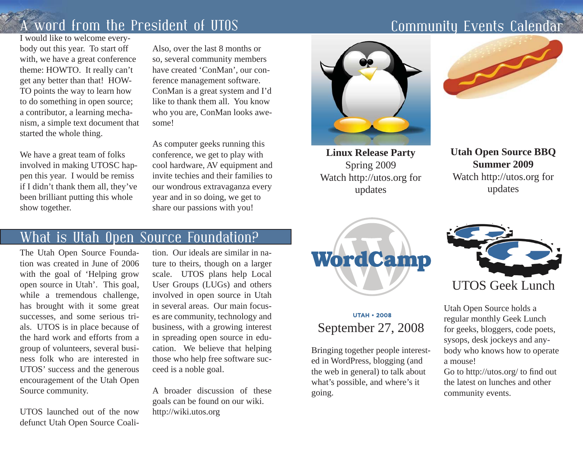## A word from the President of UTOS

I would like to welcome everybody out this year. To start off with, we have a great conference theme: HOWTO. It really can't get any better than that! HOW-TO points the way to learn how to do something in open source; a contributor, a learning mechanism, a simple text document that started the whole thing.

We have a great team of folks involved in making UTOSC happen this year. I would be remiss if I didn't thank them all, they've been brilliant putting this whole show together.

Also, over the last 8 months or so, several community members have created 'ConMan', our conference management software. ConMan is a great system and I'd like to thank them all. You know who you are, ConMan looks awesome!

As computer geeks running this conference, we get to play with cool hardware, AV equipment and invite techies and their families to our wondrous extravaganza every year and in so doing, we get to share our passions with you!

### What is Utah Open Source Foundation?

The Utah Open Source Foundation was created in June of 2006 with the goal of 'Helping grow open source in Utah'. This goal, while a tremendous challenge, has brought with it some great successes, and some serious trials. UTOS is in place because of the hard work and efforts from a group of volunteers, several business folk who are interested in UTOS' success and the generous encouragement of the Utah Open Source community.

UTOS launched out of the now defunct Utah Open Source Coali-

tion. Our ideals are similar in nature to theirs, though on a larger scale. UTOS plans help Local User Groups (LUGs) and others involved in open source in Utah in several areas. Our main focuses are community, technology and business, with a growing interest in spreading open source in edu cation. We believe that helping those who help free software suc ceed is a noble goal. UTOS Geek Lunch<br>
in several areas. Our main focus<br>
in several areas. Our main focus<br>
business, with a growing interest<br>
business, with a growing interest<br>
in spreading open source in edu-<br>
cation. We believe that helping<br>

A broader discussion of these goals can be found on our wiki.



**Linux Release Party**  Spring 2009 Watch http://utos.org for updates



**Utah Open Source BBQ Summer 2009**Watch http://utos.org for updates





find out the latest on lunches and other community events.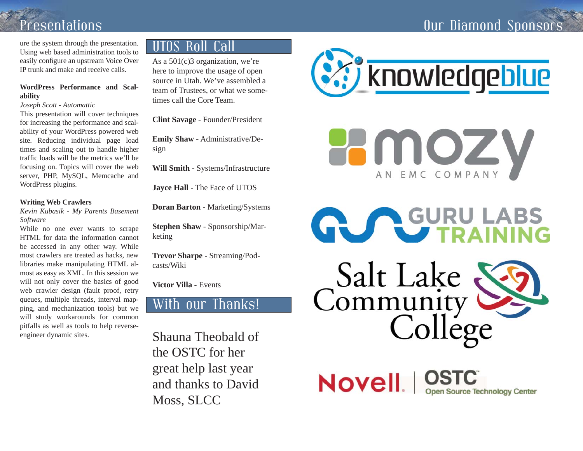## Our Diamond Sponsor

# Presentations

ure the system through the presentation. Using web based administration tools to easily configure an upstream Voice Over IP trunk and make and receive calls.

### **WordPress Performance and Scalability**

### *Joseph Scott - Automattic*

This presentation will cover techniques for increasing the performance and scalability of your WordPress powered web site. Reducing individual page load times and scaling out to handle higher traffic loads will be the metrics we'll be focusing on. Topics will cover the web server, PHP, MySQL, Memcache and WordPress plugins.

### **Writing Web Crawlers**

*Kevin Kubasik - My Parents Basement Software*

While no one ever wants to scrape HTML for data the information cannot be accessed in any other way. While most crawlers are treated as hacks, new libraries make manipulating HTML almost as easy as XML. In this session we will not only cover the basics of good web crawler design (fault proof, retry queues, multiple threads, interval mapping, and mechanization tools) but we will study workarounds for common pitfalls as well as tools to help reverseengineer dynamic sites.

### UTOS Roll Call

As a 501(c)3 organization, we're here to improve the usage of open source in Utah. We've assembled a team of Trustees, or what we sometimes call the Core Team.

**Clint Savage** - Founder/President

**Emily Shaw** - Administrative/Design

**Will Smith** - Systems/Infrastructure

**Jayce Hall** - The Face of UTOS

**Doran Barton** - Marketing/Systems

**Stephen Shaw** - Sponsorship/Marketing

**Trevor Sharpe** - Streaming/Podcasts/Wiki

**Victor Villa** - Events

### With our Thanks!

Shauna Theobald of the OSTC for her great help last year and thanks to David Moss, SLCC



HMOZV AN EMC COMPANY



Novell STC

**Open Source Technology Center**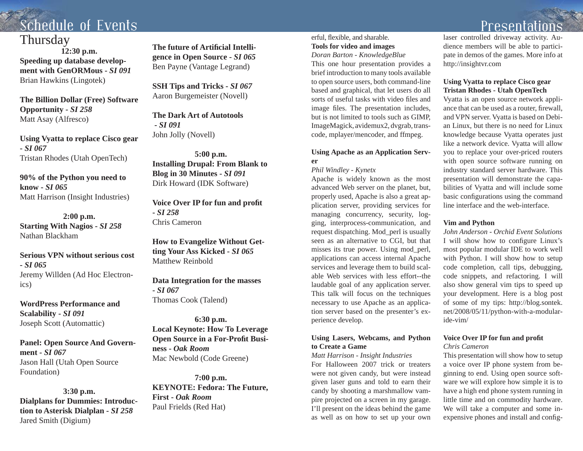# Schedule of Events

### **Thursday**

**12:30 p.m. Speeding up database development with GenORMous -** *SI 091*Brian Hawkins (Lingotek)

**The Billion Dollar (Free) Software Opportunity -** *SI 258* Matt Asay (Alfresco)

**Using Vyatta to replace Cisco gear -** *SI 067*Tristan Rhodes (Utah OpenTech)

**90% of the Python you need to know -** *SI 065*Matt Harrison (Insight Industries)

**2:00 p.m. Starting With Nagios -** *SI 258* Nathan Blackham

**Serious VPN without serious cost -** *SI 065*Jeremy Willden (Ad Hoc Electronics)

**WordPress Performance and Scalability -** *SI 091* Joseph Scott (Automattic)

**Panel: Open Source And Government -** *SI 067*Jason Hall (Utah Open Source Foundation)

**3:30 p.m. Dialplans for Dummies: Introduction to Asterisk Dialplan -** *SI 258* Jared Smith (Digium)

**The future of Artifi cial Intelligence in Open Source -** *SI 065* Ben Payne (Vantage Legrand)

**SSH Tips and Tricks -** *SI 067* Aaron Burgemeister (Novell)

**The Dark Art of Autotools -** *SI 091*John Jolly (Novell)

**5:00 p.m. Installing Drupal: From Blank to Blog in 30 Minutes -** *SI 091* Dirk Howard (IDK Software)

**Voice Over IP for fun and profit -** *SI 258*Chris Cameron

**How to Evangelize Without Getting Your Ass Kicked -** *SI 065* Matthew Reinbold

**Data Integration for the masses -** *SI 067*Thomas Cook (Talend)

**6:30 p.m. Local Keynote: How To Leverage Open Source in a For-Pro fi t Business -** *Oak Room*Mac Newbold (Code Greene)

**7:00 p.m. KEYNOTE: Fedora: The Future, First -** *Oak Room*Paul Frields (Red Hat)

### erful, flexible, and sharable. **Tools for video and images**

*Doran Barton - KnowledgeBlue*

This one hour presentation provides a brief introduction to many tools available to open source users, both command-line based and graphical, that let users do all sorts of useful tasks with video files and image files. The presentation includes, but is not limited to tools such as GIMP, ImageMagick, avidemux2, dvgrab, transcode, mplayer/mencoder, and ffmpeg.

### **Using Apache as an Application Server**

*Phil Windley - Kynetx*

Apache is widely known as the most advanced Web server on the planet, but, properly used, Apache is also a great application server, providing services for managing concurrency, security, logging, interprocess-communication, and request dispatching. Mod\_perl is usually seen as an alternative to CGI, but that misses its true power. Using mod\_perl, applications can access internal Apache services and leverage them to build scalable Web services with less effort--the laudable goal of any application server. This talk will focus on the techniques necessary to use Apache as an application server based on the presenter's experience develop.

### **Using Lasers, Webcams, and Python to Create a Game**

*Matt Harrison - Insight Industries* For Halloween 2007 trick or treaters were not given candy, but were instead given laser guns and told to earn their candy by shooting a marshmallow vampire projected on a screen in my garage. I'll present on the ideas behind the game as well as on how to set up your own

Presentations

laser controlled driveway activity. Audience members will be able to participate in demos of the games. More info at http://insightvr.com

### **Using Vyatta to replace Cisco gear Tristan Rhodes - Utah OpenTech**

Vyatta is an open source network appliance that can be used as a router, fi rewall, and VPN server. Vyatta is based on Debian Linux, but there is no need for Linux knowledge because Vyatta operates just like a network device. Vyatta will allow you to replace your over-priced routers with open source software running on industry standard server hardware. This presentation will demonstrate the capabilities of Vyatta and will include some basic configurations using the command line interface and the web-interface.

### **Vim and Python**

*John Anderson - Orchid Event Solutions*I will show how to configure Linux's most popular modular IDE to work well with Python. I will show how to setup code completion, call tips, debugging, code snippets, and refactoring. I will also show general vim tips to speed up your development. Here is a blog post of some of my tips: http://blog.sontek. net/2008/05/11/python-with-a-modularide-vim/

#### **Voice Over IP for fun and pro fi t** *Chris Cameron*

This presentation will show how to setup a voice over IP phone system from beginning to end. Using open source software we will explore how simple it is to have a high end phone system running in little time and on commodity hardware. We will take a computer and some inexpensive phones and install and config-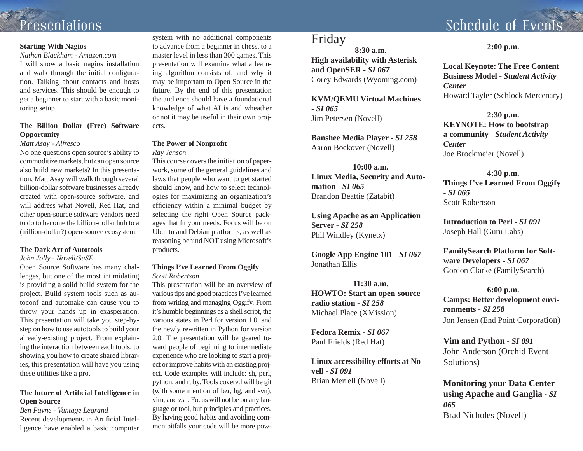### **Starting With Nagios**

*Nathan Blackham - Amazon.com* I will show a basic nagios installation and walk through the initial configuration. Talking about contacts and hosts and services. This should be enough to get a beginner to start with a basic monitoring setup.

### **The Billion Dollar (Free) Software Opportunity**

### *Matt Asay - Alfresco*

No one questions open source's ability to commoditize markets, but can open source also build new markets? In this presentation, Matt Asay will walk through several billion-dollar software businesses already created with open-source software, and will address what Novell, Red Hat, and other open-source software vendors need to do to become the billion-dollar hub to a (trillion-dollar?) open-source ecosystem.

### **The Dark Art of Autotools**

#### *John Jolly - Novell/SuSE*

Open Source Software has many challenges, but one of the most intimidating is providing a solid build system for the project. Build system tools such as autoconf and automake can cause you to throw your hands up in exasperation. This presentation will take you step-bystep on how to use autotools to build your already-existing project. From explaining the interaction between each tools, to showing you how to create shared libraries, this presentation will have you using these utilities like a pro.

### **The future of Arti fi cial Intelligence in Open Source**

*Ben Payne - Vantage Legrand* Recent developments in Artificial Intelligence have enabled a basic computer

system with no additional components to advance from a beginner in chess, to a master level in less than 300 games. This presentation will examine what a learning algorithm consists of, and why it may be important to Open Source in the future. By the end of this presentation the audience should have a foundational knowledge of what AI is and wheather or not it may be useful in their own projects.

### **The Power of Nonpro fi t**

*Ray Jenson*

This course covers the initiation of paperwork, some of the general guidelines and laws that people who want to get started should know, and how to select technologies for maximizing an organization's efficiency within a minimal budget by selecting the right Open Source packages that fi t your needs. Focus will be on Ubuntu and Debian platforms, as well as reasoning behind NOT using Microsoft's products.

### **Things I've Learned From Oggify** *Scott Robertson*

This presentation will be an overview of various tips and good practices I've learned from writing and managing Oggify. From it's humble beginnings as a shell script, the various states in Perl for version 1.0, and the newly rewritten in Python for version 2.0. The presentation will be geared toward people of beginning to intermediate experience who are looking to start a project or improve habits with an existing project. Code examples will include: sh, perl, python, and ruby. Tools covered will be git (with some mention of bzr, hg, and svn), vim, and zsh. Focus will not be on any language or tool, but principles and practices. By having good habits and avoiding common pitfalls your code will be more pow-

### Friday

**8:30 a.m.High availability with Asterisk and OpenSER -** *SI 067* Corey Edwards (Wyoming.com)

**KVM/QEMU Virtual Machines -** *SI 065*Jim Petersen (Novell)

**Banshee Media Player -** *SI 258* Aaron Bockover (Novell)

**10:00 a.m.Linux Media, Security and Auto mation -** *SI 065*Brandon Beattie (Zatabit)

**Using Apache as an Application Server -** *SI 258*Phil Windley (Kynetx)

**Google App Engine 101 -** *SI 067* Jonathan Ellis

**11:30 a.m.HOWTO: Start an open-source radio station -** *SI 258*Michael Place (XMission)

**Fedora Remix -** *SI 067*Paul Frields (Red Hat)

**Linux accessibility efforts at No vell -** *SI 091*

## Schedule of Events

<sup>2.00</sup> p.m.<br>
High availability with Asterisk<br>
Eigh availability with Asterisk<br>
Local Keynote: The Free Content<br>
Edwards (Wyoming.com)<br>
2.000 p.m.<br>
Extravel<br>
Correct Extravel Dubia Machines<br>
For Mostern (Novell)<br>
10:00 a.m

Brad Nicholes (Novell)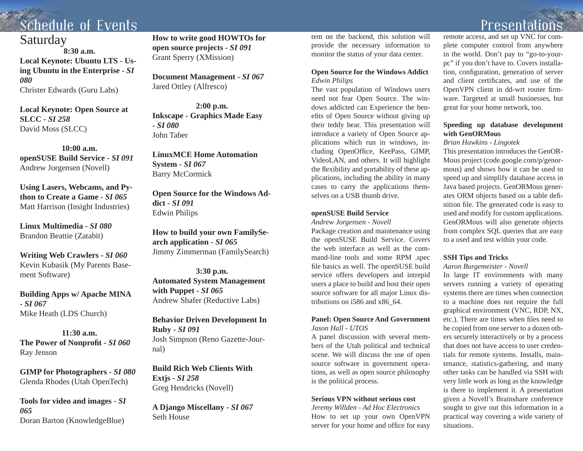## Schedule of Events

### Saturday

**8:30 a.m.Local Keynote: Ubuntu LTS - Using Ubuntu in the Enterprise -** *SI 080*Christer Edwards (Guru Labs)

**Local Keynote: Open Source at SLCC -** *SI 258*David Moss (SLCC)

**10:00 a.m.openSUSE Build Service -** *SI 091* Andrew Jorgensen (Novell)

**Using Lasers, Webcams, and Python to Create a Game -** *SI 065*Matt Harrison (Insight Industries)

**Linux Multimedia -** *SI 080*Brandon Beattie (Zatabit)

**Writing Web Crawlers -** *SI 060* Kevin Kubasik (My Parents Basement Software)

**Building Apps w/ Apache MINA -** *SI 067*Mike Heath (LDS Church)

**11:30 a.m.The Power of Nonpro fi t -** *SI 060*Ray Jenson

**GIMP for Photographers -** *SI 080* Glenda Rhodes (Utah OpenTech)

**Tools for video and images -** *SI 065*Doran Barton (KnowledgeBlue)

**How to write good HOWTOs for open source projects -** *SI 091* Grant Sperry (XMission)

**Document Management -** *SI 067* Jared Ottley (Alfresco)

**2:00 p.m. Inkscape - Graphics Made Easy -** *SI 080*John Taber

**LinuxMCE Home Automation System -** *SI 067* Barry McCormick

**Open Source for the Windows Addict -** *SI 091*Edwin Philips

**How to build your own FamilySearch application -** *SI 065* Jimmy Zimmerman (FamilySearch)

**3:30 p.m. Automated System Management with Puppet -** *SI 065* Andrew Shafer (Reductive Labs)

**Behavior Driven Development In Ruby -** *SI 091* Josh Simpson (Reno Gazette-Journal)

**Build Rich Web Clients With Extjs -** *SI 258* Greg Hendricks (Novell)

**A Django Miscellany -** *SI 067* Seth House

tem on the backend, this solution will provide the necessary information to monitor the status of your data center.

### **Open Source for the Windows Addict** *Edwin Philips*

The vast population of Windows users need not fear Open Source. The windows addicted can Experience the benefits of Open Source without giving up their teddy bear. This presentation will introduce a variety of Open Source applications which run in windows, including OpenOffice, KeePass, GIMP, VideoLAN, and others. It will highlight the flexibility and portability of these applications, including the ability in many cases to carry the applications themselves on a USB thumb drive.

#### **openSUSE Build Service**

*Andrew Jorgensen - Novell*

Package creation and maintenance using the openSUSE Build Service. Covers the web interface as well as the command-line tools and some RPM .spec file basics as well. The openSUSE build service offers developers and intrepid users a place to build and host their open source software for all major Linux distributions on i586 and x86\_64.

### **Panel: Open Source And Government** *Jason Hall - UTOS*

A panel discussion with several members of the Utah political and technical scene. We will discuss the use of open source software in government operations, as well as open source philosophy is the political process.

### **Serious VPN without serious cost**

*Jeremy Willden - Ad Hoc Electronics* How to set up your own OpenVPN server for your home and office for easy remote access, and set up VNC for complete computer control from anywhere in the world. Don't pay to "go-to-yourpc" if you don't have to. Covers installation, configuration, generation of server and client certificates, and use of the OpenVPN client in dd-wrt router firmware. Targeted at small businesses, but great for your home network, too.

### **Speeding up database development with GenORMous**

### *Brian Hawkins - Lingotek*

This presentation introduces the GenOR-Mous project (code.google.com/p/genormous) and shows how it can be used to speed up and simplify database access in Java based projects. GenORMous generates ORM objects based on a table de fi nition file. The generated code is easy to used and modify for custom applications. GenORMous will also generate objects from complex SQL queries that are easy to a used and test within your code.

### **SSH Tips and Tricks**

#### *Aaron Burgemeister - Novell*

In large IT environments with many servers running a variety of operating systems there are times when connection to a machine does not require the full graphical environment (VNC, RDP, NX, etc.). There are times when files need to be copied from one server to a dozen others securely interactively or by a process that does not have access to user credentials for remote systems. Installs, maintenance, statistics-gathering, and many other tasks can be handled via SSH with very little work as long as the knowledge is there to implement it. A presentation given a Novell's Brainshare conference sought to give out this information in a practical way covering a wide variety of situations.

## Presentations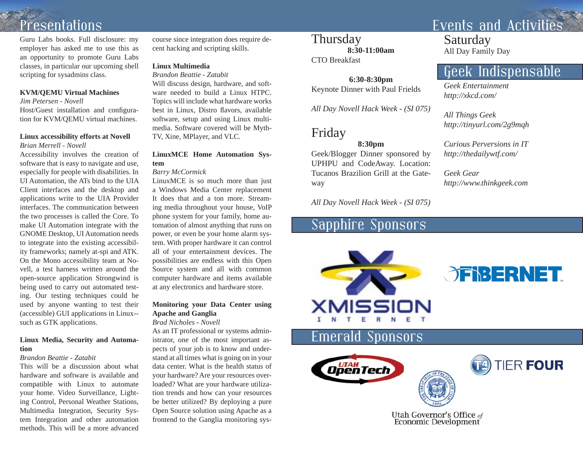Guru Labs books. Full disclosure: my employer has asked me to use this as an opportunity to promote Guru Labs classes, in particular our upcoming shell scripting for sysadmins class.

#### **KVM/QEMU Virtual Machines**

*Jim Petersen - Novell*Host/Guest installation and configuration for KVM/QEMU virtual machines.

### **Linux accessibility efforts at Novell**

*Brian Merrell - Novell*

Accessibility involves the creation of software that is easy to navigate and use, especially for people with disabilities. In UI Automation, the ATs bind to the UIA Client interfaces and the desktop and applications write to the UIA Provider interfaces. The communication between the two processes is called the Core. To make UI Automation integrate with the GNOME Desktop, UI Automation needs to integrate into the existing accessibility frameworks; namely at-spi and ATK. On the Mono accessibility team at Novell, a test harness written around the open-source application Strongwind is being used to carry out automated testing. Our testing techniques could be used by anyone wanting to test their (accessible) GUI applications in Linux- such as GTK applications.

### **Linux Media, Security and Automation**

### *Brandon Beattie - Zatabit*

This will be a discussion about what hardware and software is available and compatible with Linux to automate your home. Video Surveillance, Lighting Control, Personal Weather Stations, Multimedia Integration, Security System Integration and other automation methods. This will be a more advanced course since integration does require decent hacking and scripting skills.

### **Linux Multimedia**

*Brandon Beattie - Zatabit*

Will discuss design, hardware, and software needed to build a Linux HTPC. Topics will include what hardware works best in Linux, Distro flavors, available software, setup and using Linux multimedia. Software covered will be Myth-TV, Xine, MPlayer, and VLC.

### **LinuxMCE Home Automation System**

*Barry McCormick*

LinuxMCE is so much more than just a Windows Media Center replacement It does that and a ton more. Streaming media throughout your house, VoIP phone system for your family, home automation of almost anything that runs on power, or even be your home alarm system. With proper hardware it can control all of your entertainment devices. The possibilities are endless with this Open Source system and all with common computer hardware and items available at any electronics and hardware store.

### **Monitoring your Data Center using Apache and Ganglia**

#### *Brad Nicholes - Novell*

As an IT professional or systems administrator, one of the most important aspects of your job is to know and understand at all times what is going on in your data center. What is the health status of your hardware? Are your resources overloaded? What are your hardware utilization trends and how can your resources be better utilized? By deploying a pure Open Source solution using Apache as a frontend to the Ganglia monitoring sys-

### **Thursday 8:30-11:00am**

CTO Breakfast

**6:30-8:30pm** Keynote Dinner with Paul Frields

*All Day Novell Hack Week - (SI 075)*

## Friday

### **8:30pm**

Geek/Blogger Dinner sponsored by UPHPU and CodeAway. Location: Tucanos Brazilion Grill at the Gateway Thursday<br>
8:30-11:00am<br>
CTO Breakfast<br>
6:30-8:30pm<br>
Keynote Dinner with Paul Frields<br>
Fiday<br>
Multip://xkcd.com/<br>
All Day Novell Hack Week - (SI 075)<br>
8:30pm<br>
8:30pm<br>
Geek/Blogger Dinner sponsored by<br>
Multip://thedailywf.co

## Sapphire Sponsors





Utah Governor's Office of **Economic Development**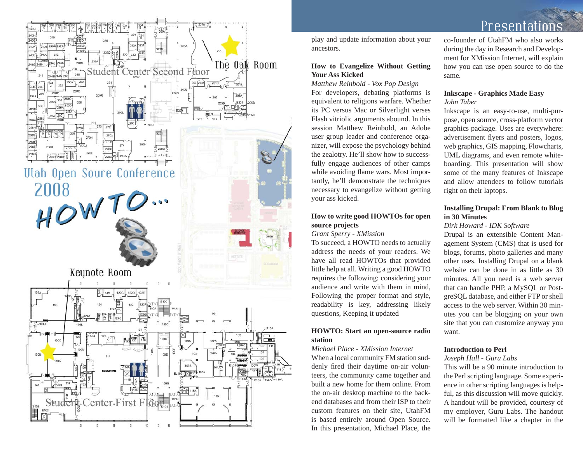

play and update information about your ancestors.

### **How to Evangelize Without Getting Your Ass Kicked**

*Matthew Reinbold - Vox Pop Design* For developers, debating platforms is equivalent to religions warfare. Whether its PC versus Mac or Silverlight verses Flash vitriolic arguments abound. In this session Matthew Reinbold, an Adobe user group leader and conference organizer, will expose the psychology behind the zealotry. He'll show how to successfully engage audiences of other camps while avoiding flame wars. Most importantly, he'll demonstrate the techniques necessary to evangelize without getting your ass kicked.

### **How to write good HOWTOs for open source projects**

*Grant Sperry - XMission*

To succeed, a HOWTO needs to actually address the needs of your readers. We have all read HOWTOs that provided little help at all. Writing a good HOWTO requires the following: considering your audience and write with them in mind, Following the proper format and style, readability is key, addressing likely questions, Keeping it updated

### **HOWTO: Start an open-source radio station**

*Michael Place - XMission Internet*When a local community FM station suddenly fired their daytime on-air volunteers, the community came together and built a new home for them online. From the on-air desktop machine to the backend databases and from their ISP to their custom features on their site, UtahFM is based entirely around Open Source. In this presentation, Michael Place, the Presentat

co-founder of UtahFM who also works during the day in Research and Development for XMission Internet, will explain how you can use open source to do the same.

### **Inkscape - Graphics Made Easy** *John Taber*

Inkscape is an easy-to-use, multi-purpose, open source, cross-platform vector graphics package. Uses are everywhere: advertisement flyers and posters, logos, web graphics, GIS mapping, Flowcharts, UML diagrams, and even remote whiteboarding. This presentation will show some of the many features of Inkscape and allow attendees to follow tutorials right on their laptops.

### **Installing Drupal: From Blank to Blog in 30 Minutes**

### *Dirk Howard - IDK Software*

Drupal is an extensible Content Management System (CMS) that is used for blogs, forums, photo galleries and many other uses. Installing Drupal on a blank website can be done in as little as 30 minutes. All you need is a web server that can handle PHP, a MySQL or PostgreSQL database, and either FTP or shell access to the web server. Within 30 minutes you can be blogging on your own site that you can customize anyway you want.

### **Introduction to Perl**

### *Joseph Hall - Guru Labs*

This will be a 90 minute introduction to the Perl scripting language. Some experience in other scripting languages is helpful, as this discussion will move quickly. A handout will be provided, courtesy of my employer, Guru Labs. The handout will be formatted like a chapter in the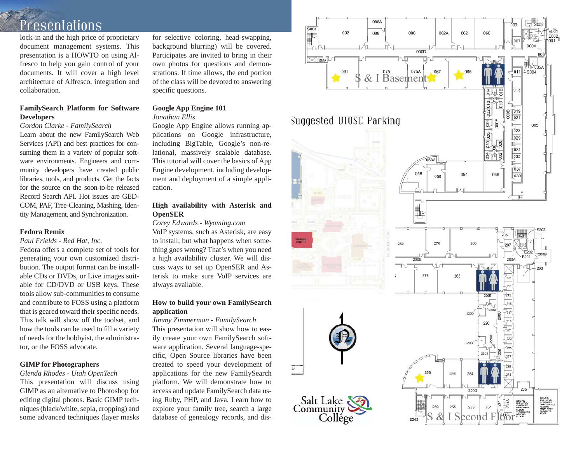lock-in and the high price of proprietary document management systems. This presentation is a HOWTO on using Alfresco to help you gain control of your documents. It will cover a high level architecture of Alfresco, integration and collaboration.

### **FamilySearch Platform for Software Developers**

#### *Gordon Clarke - FamilySearch*

Learn about the new FamilySearch Web Services (API) and best practices for consuming them in a variety of popular software environments. Engineers and community developers have created public libraries, tools, and products. Get the facts for the source on the soon-to-be released Record Search API. Hot issues are GED-COM, PAF, Tree-Cleaning, Mashing, Identity Management, and Synchronization.

#### **Fedora Remix**

### *Paul Frields - Red Hat, Inc.*

Fedora offers a complete set of tools for generating your own customized distribution. The output format can be installable CDs or DVDs, or Live images suitable for CD/DVD or USB keys. These tools allow sub-communities to consume and contribute to FOSS using a platform that is geared toward their specific needs. This talk will show off the toolset, and how the tools can be used to fill a variety of needs for the hobbyist, the administrator, or the FOSS advocate.

### **GIMP for Photographers**

### *Glenda Rhodes - Utah OpenTech*

This presentation will discuss using GIMP as an alternative to Photoshop for editing digital photos. Basic GIMP techniques (black/white, sepia, cropping) and some advanced techniques (layer masks

for selective coloring, head-swapping, background blurring) will be covered. Participates are invited to bring in their own photos for questions and demonstrations. If time allows, the end portion of the class will be devoted to answering specific questions.

### **Google App Engine 101**

#### *Jonathan Ellis*

Google App Engine allows running applications on Google infrastructure, including BigTable, Google's non-relational, massively scalable database. This tutorial will cover the basics of App Engine development, including development and deployment of a simple application.

### **High availability with Asterisk and OpenSER**

*Corey Edwards - Wyoming.com*

VoIP systems, such as Asterisk, are easy to install; but what happens when something goes wrong? That's when you need a high availability cluster. We will discuss ways to set up OpenSER and Asterisk to make sure VoIP services are always available.

### **How to build your own FamilySearch application**

#### *Jimmy Zimmerman - FamilySearch*

This presentation will show how to easily create your own FamilySearch software application. Several language-specific, Open Source libraries have been created to speed your development of applications for the new FamilySearch platform. We will demonstrate how to access and update FamilySearch data using Ruby, PHP, and Java. Learn how to explore your family tree, search a large database of genealogy records, and dis-